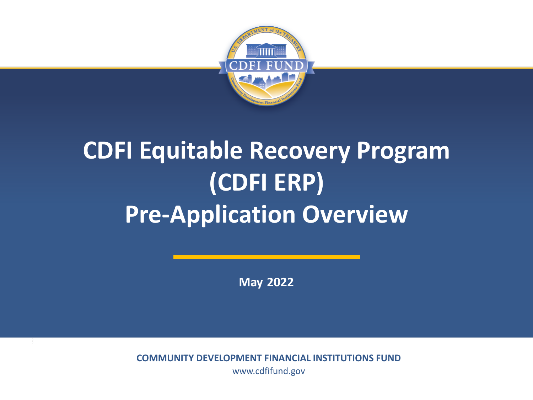

# **CDFI Equitable Recovery Program (CDFI ERP) Pre-Application Overview**

**May 2022**

**COMMUNITY DEVELOPMENT FINANCIAL INSTITUTIONS FUND** www.cdfifund.gov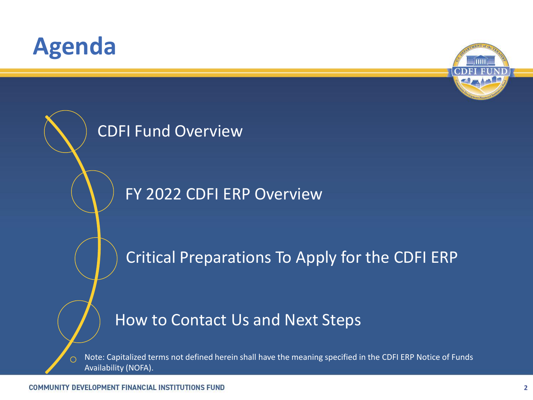## **Agenda**





Note: Capitalized terms not defined herein shall have the meaning specified in the CDFI ERP Notice of Funds  $\bigcirc$ Availability (NOFA).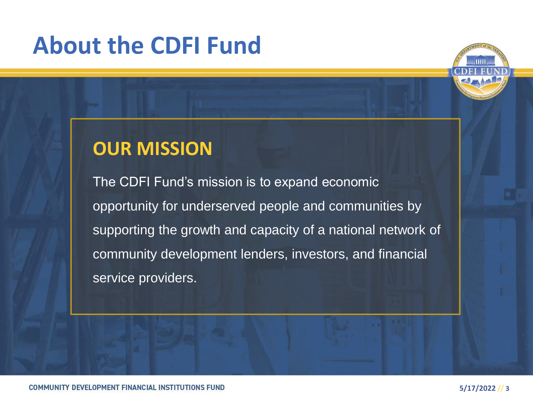# **About the CDFI Fund**



#### **OUR MISSION**

The CDFI Fund's mission is to expand economic opportunity for underserved people and communities by supporting the growth and capacity of a national network of community development lenders, investors, and financial service providers.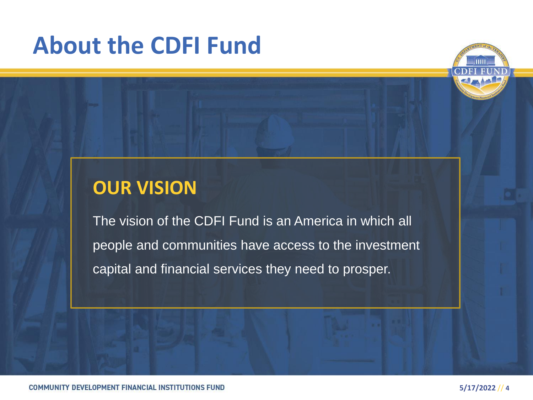# **About the CDFI Fund**



#### **OUR VISION**

The vision of the CDFI Fund is an America in which all people and communities have access to the investment capital and financial services they need to prosper.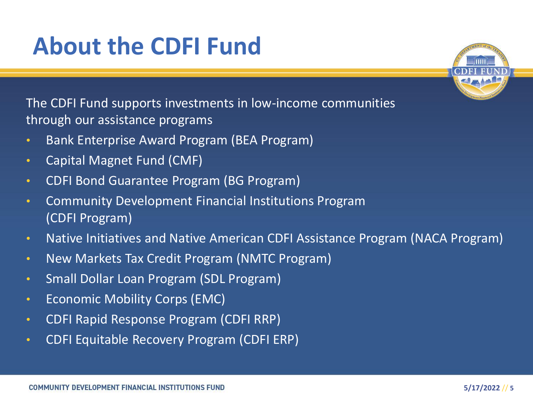# **About the CDFI Fund**

The CDFI Fund supports investments in low-income communities through our assistance programs

- Bank Enterprise Award Program (BEA Program)
- Capital Magnet Fund (CMF)
- CDFI Bond Guarantee Program (BG Program)
- Community Development Financial Institutions Program (CDFI Program)
- Native Initiatives and Native American CDFI Assistance Program (NACA Program)
- New Markets Tax Credit Program (NMTC Program)
- Small Dollar Loan Program (SDL Program)
- Economic Mobility Corps (EMC)
- CDFI Rapid Response Program (CDFI RRP)
- CDFI Equitable Recovery Program (CDFI ERP)

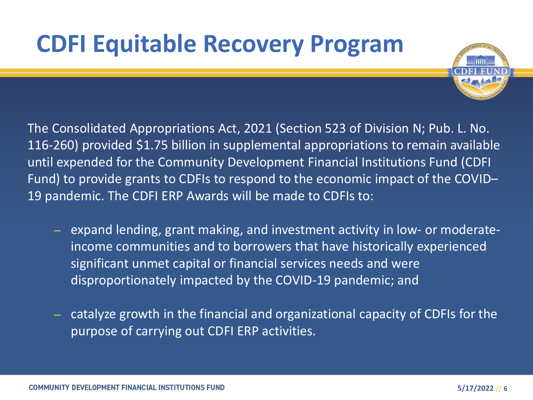# **CDFI Equitable Recovery Program**



The Consolidated Appropriations Act, 2021 (Section 523 of Division N; Pub. L. No. 116-260) provided \$1.75 billion in supplemental appropriations to remain available until expended for the Community Development Financial Institutions Fund (CDFI Fund) to provide grants to CDFIs to respond to the economic impact of the COVID– 19 pandemic. The CDFI ERP Awards will be made to CDFIs to:

- expand lending, grant making, and investment activity in low- or moderateincome communities and to borrowers that have historically experienced significant unmet capital or financial services needs and were disproportionately impacted by the COVID-19 pandemic; and
- catalyze growth in the financial and organizational capacity of CDFIs for the purpose of carrying out CDFI ERP activities.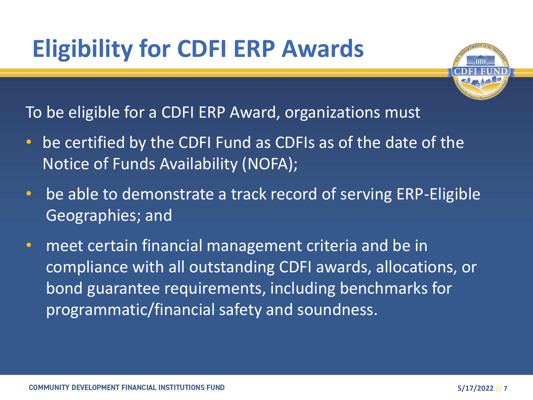# **Eligibility for CDFI ERP Awards**



To be eligible for a CDFI ERP Award, organizations must

- be certified by the CDFI Fund as CDFIs as of the date of the Notice of Funds Availability (NOFA);
- be able to demonstrate a track record of serving ERP-Eligible Geographies; and
- meet certain financial management criteria and be in compliance with all outstanding CDFI awards, allocations, or bond guarantee requirements, including benchmarks for programmatic/financial safety and soundness.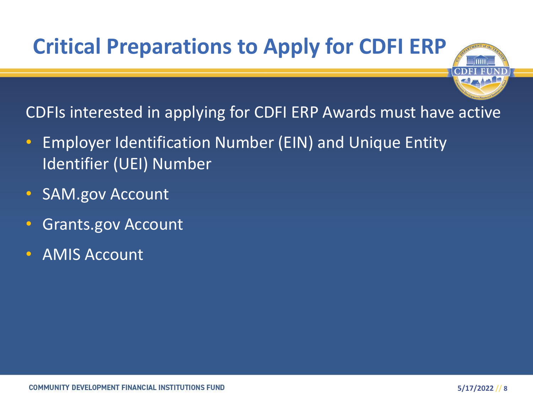## **Critical Preparations to Apply for CDFI ERP**

CDFIs interested in applying for CDFI ERP Awards must have active

- Employer Identification Number (EIN) and Unique Entity Identifier (UEI) Number
- SAM.gov Account
- Grants.gov Account
- AMIS Account

m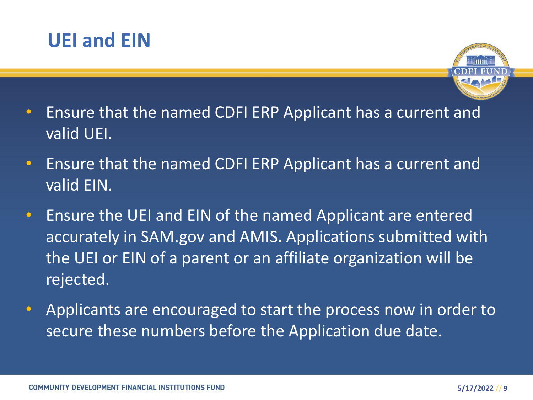



- Ensure that the named CDFI ERP Applicant has a current and valid UEI.
- Ensure that the named CDFI ERP Applicant has a current and valid EIN.
- Ensure the UEI and EIN of the named Applicant are entered accurately in SAM.gov and AMIS. Applications submitted with the UEI or EIN of a parent or an affiliate organization will be rejected.
- Applicants are encouraged to start the process now in order to secure these numbers before the Application due date.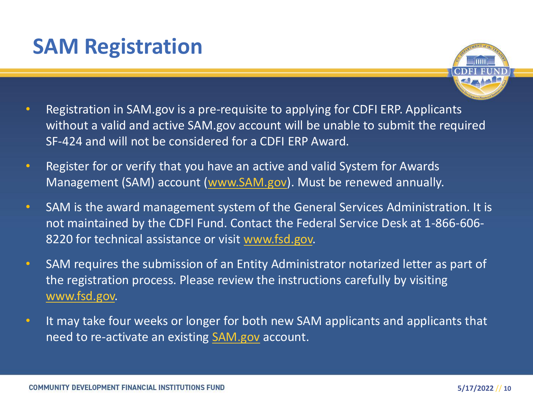### **SAM Registration**



- Registration in SAM.gov is a pre-requisite to applying for CDFI ERP. Applicants without a valid and active SAM.gov account will be unable to submit the required SF-424 and will not be considered for a CDFI ERP Award.
- Register for or verify that you have an active and valid System for Awards Management (SAM) account (www.SAM.gov). Must be renewed annually.
- SAM is the award management system of the General Services Administration. It is not maintained by the CDFI Fund. Contact the Federal Service Desk at 1-866-606- 8220 for technical assistance or visit www.fsd.gov.
- SAM requires the submission of an Entity Administrator notarized letter as part of the registration process. Please review the instructions carefully by visiting www.fsd.gov.
- It may take four weeks or longer for both new SAM applicants and applicants that need to re-activate an existing SAM.gov account.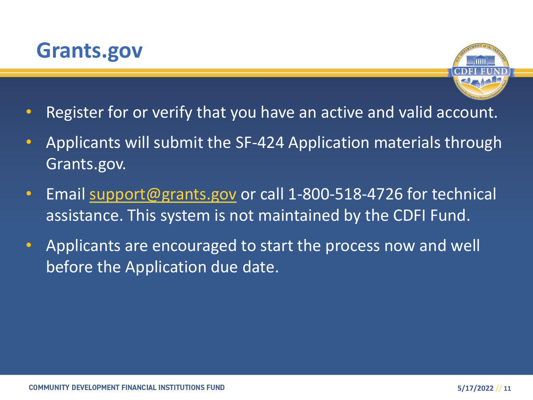



- Register for or verify that you have an active and valid account.
- Applicants will submit the SF-424 Application materials through Grants.gov.
- Email support@grants.gov or call 1-800-518-4726 for technical assistance. This system is not maintained by the CDFI Fund.
- Applicants are encouraged to start the process now and well before the Application due date.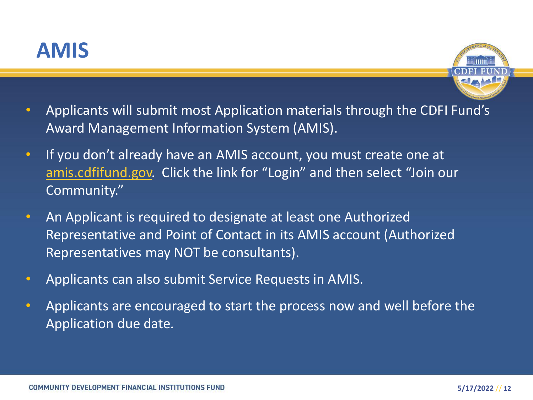



- Applicants will submit most Application materials through the CDFI Fund's Award Management Information System (AMIS).
- If you don't already have an AMIS account, you must create one at amis.cdfifund.gov. Click the link for "Login" and then select "Join our Community."
- An Applicant is required to designate at least one Authorized Representative and Point of Contact in its AMIS account (Authorized Representatives may NOT be consultants).
- Applicants can also submit Service Requests in AMIS.
- Applicants are encouraged to start the process now and well before the Application due date.